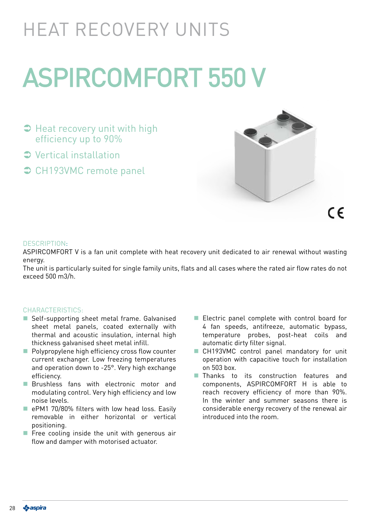## HEAT RECOVERY UNITS

# ASPIRCOMFORT 550 V

- $\supset$  Heat recovery unit with high efficiency up to 90%
- Vertical installation
- **◯ CH193VMC remote panel**



#### DESCRIPTION:

ASPIRCOMFORT V is a fan unit complete with heat recovery unit dedicated to air renewal without wasting energy.

The unit is particularly suited for single family units, flats and all cases where the rated air flow rates do not exceed 500 m3/h.

#### CHARACTERISTICS:

- Self-supporting sheet metal frame. Galvanised sheet metal panels, coated externally with thermal and acoustic insulation, internal high thickness galvanised sheet metal infill.
- **Polypropylene high efficiency cross flow counter** current exchanger. Low freezing temperatures and operation down to -25°. Very high exchange efficiency.
- **Brushless fans with electronic motor and** modulating control. Very high efficiency and low noise levels.
- **E** ePM1 70/80% filters with low head loss. Easily removable in either horizontal or vertical positioning.
- Free cooling inside the unit with generous air flow and damper with motorised actuator.
- Electric panel complete with control board for 4 fan speeds, antifreeze, automatic bypass, temperature probes, post-heat coils and automatic dirty filter signal.
- CH193VMC control panel mandatory for unit operation with capacitive touch for installation on 503 box.
- **Thanks** to its construction features and components, ASPIRCOMFORT H is able to reach recovery efficiency of more than 90%. In the winter and summer seasons there is considerable energy recovery of the renewal air introduced into the room.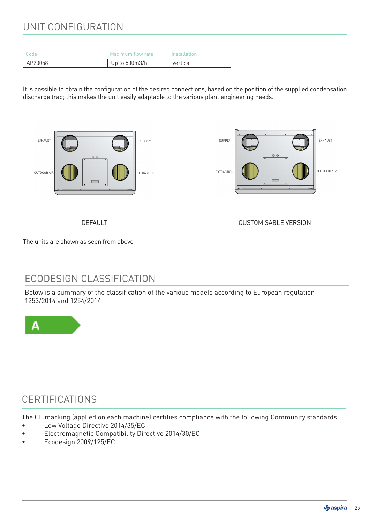## UNIT CONFIGURATION

| Code    | Maximum flow rate | Installation |
|---------|-------------------|--------------|
| AP20058 | Up to 500m3/h     | vertical     |

It is possible to obtain the configuration of the desired connections, based on the position of the supplied condensation discharge trap; this makes the unit easily adaptable to the various plant engineering needs.



DEFAULT CUSTOMISABLE VERSION

The units are shown as seen from above

## ECODESIGN CLASSIFICATION

Below is a summary of the classification of the various models according to European regulation 1253/2014 and 1254/2014



## CERTIFICATIONS

The CE marking (applied on each machine) certifies compliance with the following Community standards:

- Low Voltage Directive 2014/35/EC
- Electromagnetic Compatibility Directive 2014/30/EC
- Ecodesign 2009/125/EC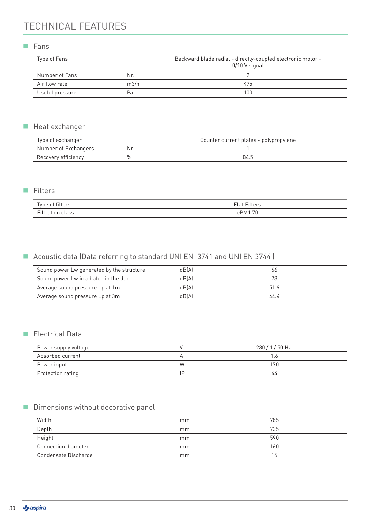## TECHNICAL FEATURES

**Fans** 

| Type of Fans    |      | Backward blade radial - directly-coupled electronic motor -<br>0/10 V signal |
|-----------------|------|------------------------------------------------------------------------------|
| Number of Fans  | Nr.  |                                                                              |
| Air flow rate   | m3/h | 475                                                                          |
| Useful pressure | Pa   | 100                                                                          |

#### Heat exchanger

| Type of exchanger    |      | Counter current plates - polypropylene |
|----------------------|------|----------------------------------------|
| Number of Exchangers | Nr.  |                                        |
| Recovery efficiency  | $\%$ | 84.5                                   |

#### **Filters**

|          | $-$<br>$\overline{\phantom{a}}$ |
|----------|---------------------------------|
| <b>.</b> | $\neg$<br>1 גור                 |

### Acoustic data (Data referring to standard UNI EN 3741 and UNI EN 3744 )

| Sound power Lw generated by the structure | dB(A) | 66   |
|-------------------------------------------|-------|------|
| Sound power Lw irradiated in the duct     | dB(A) |      |
| Average sound pressure Lp at 1m           | dB(A) | 51.9 |
| Average sound pressure Lp at 3m           | dB(A) | 44.4 |

#### Electrical Data

| Power supply voltage |    | 230/1/50 Hz. |
|----------------------|----|--------------|
| Absorbed current     |    |              |
| Power input          | W  | 170          |
| Protection rating    | ΙD | 44           |

#### Dimensions without decorative panel

| Width                | mm | 785 |
|----------------------|----|-----|
| Depth                | mm | 735 |
| Height               | mm | 590 |
| Connection diameter  | mm | 160 |
| Condensate Discharge | mm | 16  |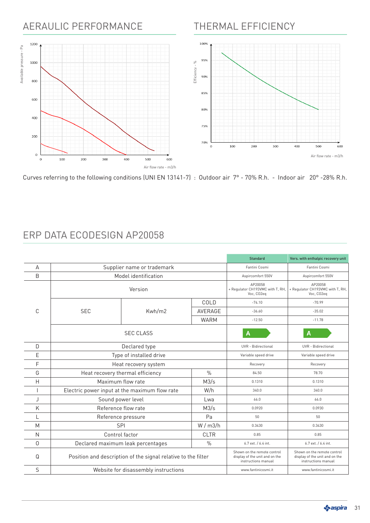## AERAULIC PERFORMANCE

## THERMAL EFFICIENCY



Curves referring to the following conditions (UNI EN 13141-7) : Outdoor air 7° - 70% R.h. - Indoor air 20° -28% R.h.

|   |                                                               |               | <b>Standard</b>                                                                      | Vers. with enthalpic recovery unit                                                   |                            |
|---|---------------------------------------------------------------|---------------|--------------------------------------------------------------------------------------|--------------------------------------------------------------------------------------|----------------------------|
| А | Supplier name or trademark                                    |               |                                                                                      | Fantini Cosmi                                                                        | Fantini Cosmi              |
| B | Model identification                                          |               | Aspircomfort 550V                                                                    | Aspircomfort 550V                                                                    |                            |
|   | Version                                                       |               | AP20058<br>+ Regulator CH193VMC with T, RH,<br>Voc, CO2eq                            | AP20058<br>+ Regulator CH193VMC with T, RH,<br>Voc, CO2eq                            |                            |
|   |                                                               |               | COLD                                                                                 | $-74.10$                                                                             | $-70.99$                   |
| C | <b>SEC</b>                                                    | Kwh/m2        | AVERAGE                                                                              | $-36.60$                                                                             | $-35.02$                   |
|   |                                                               |               | <b>WARM</b>                                                                          | $-12.50$                                                                             | $-11.78$                   |
|   |                                                               | А             | А                                                                                    |                                                                                      |                            |
| D |                                                               | Declared type |                                                                                      | UVR - Bidirectional                                                                  | <b>UVR</b> - Bidirectional |
| E | Type of installed drive                                       |               |                                                                                      | Variable speed drive                                                                 | Variable speed drive       |
| F | Heat recovery system                                          |               |                                                                                      | Recovery                                                                             | Recovery                   |
| G | Heat recovery thermal efficiency                              |               | $\%$                                                                                 | 84.50                                                                                | 78.70                      |
| Η | Maximum flow rate                                             |               | M3/s                                                                                 | 0.1310                                                                               | 0.1310                     |
|   | Electric power input at the maximum flow rate                 |               | W/h                                                                                  | 340.0                                                                                | 340.0                      |
| J | Sound power level                                             |               | Lwa                                                                                  | 66.0                                                                                 | 66.0                       |
| K | Reference flow rate                                           |               | M3/s                                                                                 | 0.0920                                                                               | 0.0930                     |
|   | Reference pressure                                            |               | Pa                                                                                   | 50                                                                                   | 50                         |
| M | <b>SPI</b>                                                    |               | W/m3/h                                                                               | 0.3430                                                                               | 0.3430                     |
| N | Control factor                                                |               | <b>CLTR</b>                                                                          | 0.85                                                                                 | 0.85                       |
| 0 | Declared maximum leak percentages                             |               | $\frac{0}{0}$                                                                        | 6.7 ext. / 6.4 int.                                                                  | 6.7 ext. / 6.4 int.        |
| Q | Position and description of the signal relative to the filter |               | Shown on the remote control<br>display of the unit and on the<br>instructions manual | Shown on the remote control<br>display of the unit and on the<br>instructions manual |                            |
| S | Website for disassembly instructions                          |               |                                                                                      | www.fantinicosmi.it                                                                  | www.fantinicosmi.it        |

## ERP DATA ECODESIGN AP20058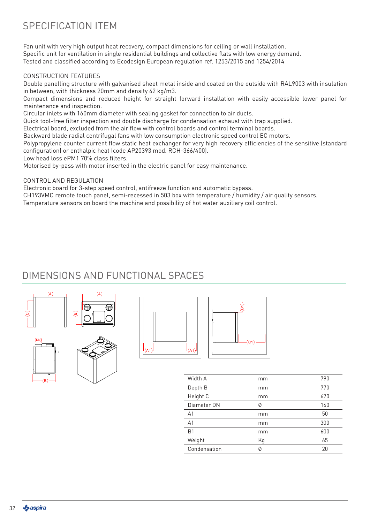Fan unit with very high output heat recovery, compact dimensions for ceiling or wall installation. Specific unit for ventilation in single residential buildings and collective flats with low energy demand. Tested and classified according to Ecodesign European regulation ref. 1253/2015 and 1254/2014

#### CONSTRUCTION FEATURES

Double panelling structure with galvanised sheet metal inside and coated on the outside with RAL9003 with insulation in between, with thickness 20mm and density 42 kg/m3.

Compact dimensions and reduced height for straight forward installation with easily accessible lower panel for maintenance and inspection.

Circular inlets with 160mm diameter with sealing gasket for connection to air ducts.

Quick tool-free filter inspection and double discharge for condensation exhaust with trap supplied.

Electrical board, excluded from the air flow with control boards and control terminal boards.

Backward blade radial centrifugal fans with low consumption electronic speed control EC motors.

Polypropylene counter current flow static heat exchanger for very high recovery efficiencies of the sensitive (standard configuration) or enthalpic heat (code AP20393 mod. RCH-366/400).

Low head loss ePM1 70% class filters.

Motorised by-pass with motor inserted in the electric panel for easy maintenance.

#### CONTROL AND REGULATION

Electronic board for 3-step speed control, antifreeze function and automatic bypass.

CH193VMC remote touch panel, semi-recessed in 503 box with temperature / humidity / air quality sensors.

Temperature sensors on board the machine and possibility of hot water auxiliary coil control.

## DIMENSIONS AND FUNCTIONAL SPACES









| Width A        | mm | 790 |
|----------------|----|-----|
| Depth B        | mm | 770 |
| Height C       | mm | 670 |
| Diameter DN    | Ø  | 160 |
| A <sub>1</sub> | mm | 50  |
| A <sub>1</sub> | mm | 300 |
| B <sub>1</sub> | mm | 600 |
| Weight         | Kg | 65  |
| Condensation   | Ø  | 20  |